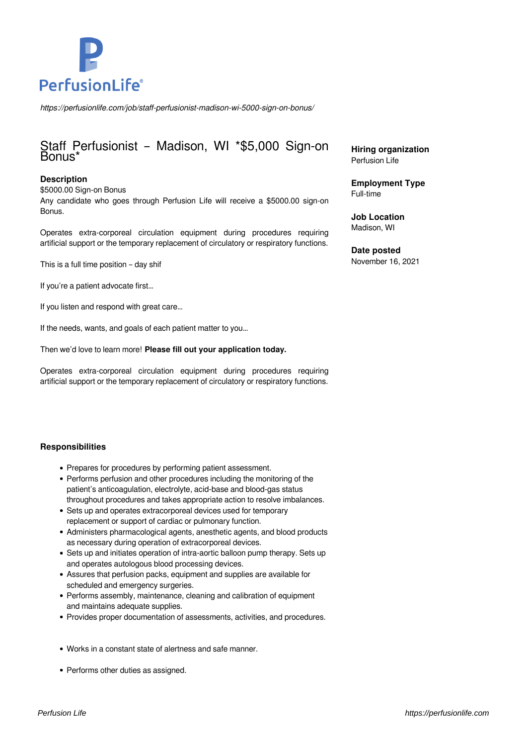

*https://perfusionlife.com/job/staff-perfusionist-madison-wi-5000-sign-on-bonus/*

# Staff Perfusionist – Madison, WI \*\$5,000 Sign-on Bonus\*

### **Description**

\$5000.00 Sign-on Bonus Any candidate who goes through Perfusion Life will receive a \$5000.00 sign-on Bonus.

Operates extra-corporeal circulation equipment during procedures requiring artificial support or the temporary replacement of circulatory or respiratory functions.

This is a full time position – day shif

If you're a patient advocate first…

If you listen and respond with great care…

If the needs, wants, and goals of each patient matter to you…

Then we'd love to learn more! **Please fill out your application today.**

Operates extra-corporeal circulation equipment during procedures requiring artificial support or the temporary replacement of circulatory or respiratory functions.

#### **Responsibilities**

- Prepares for procedures by performing patient assessment.
- Performs perfusion and other procedures including the monitoring of the patient's anticoagulation, electrolyte, acid-base and blood-gas status throughout procedures and takes appropriate action to resolve imbalances.
- Sets up and operates extracorporeal devices used for temporary replacement or support of cardiac or pulmonary function.
- Administers pharmacological agents, anesthetic agents, and blood products as necessary during operation of extracorporeal devices.
- Sets up and initiates operation of intra-aortic balloon pump therapy. Sets up and operates autologous blood processing devices.
- Assures that perfusion packs, equipment and supplies are available for scheduled and emergency surgeries.
- Performs assembly, maintenance, cleaning and calibration of equipment and maintains adequate supplies.
- Provides proper documentation of assessments, activities, and procedures.
- Works in a constant state of alertness and safe manner.
- Performs other duties as assigned.

**Hiring organization** Perfusion Life

**Employment Type** Full-time

**Job Location** Madison, WI

**Date posted** November 16, 2021